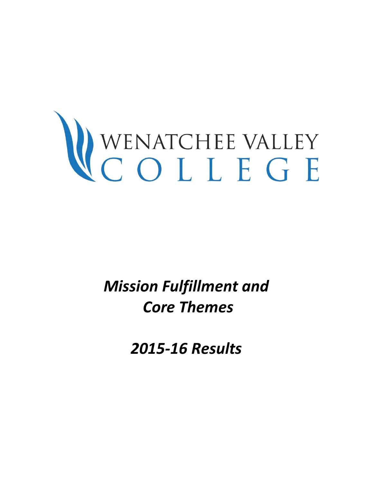# WENATCHEE VALLEY

*Mission Fulfillment and Core Themes* 

*2015-16 Results*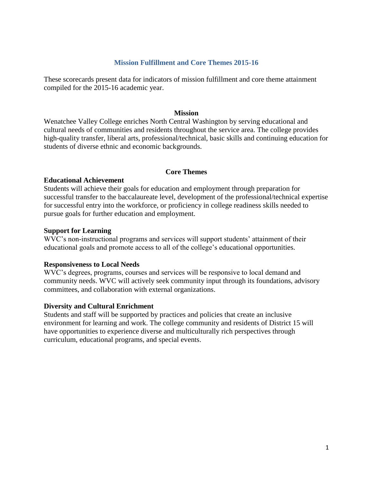#### **Mission Fulfillment and Core Themes 2015-16**

These scorecards present data for indicators of mission fulfillment and core theme attainment compiled for the 2015-16 academic year.

#### **Mission**

Wenatchee Valley College enriches North Central Washington by serving educational and cultural needs of communities and residents throughout the service area. The college provides high-quality transfer, liberal arts, professional/technical, basic skills and continuing education for students of diverse ethnic and economic backgrounds.

#### **Core Themes**

#### **Educational Achievement**

Students will achieve their goals for education and employment through preparation for successful transfer to the baccalaureate level, development of the professional/technical expertise for successful entry into the workforce, or proficiency in college readiness skills needed to pursue goals for further education and employment.

#### **Support for Learning**

WVC's non-instructional programs and services will support students' attainment of their educational goals and promote access to all of the college's educational opportunities.

#### **Responsiveness to Local Needs**

WVC's degrees, programs, courses and services will be responsive to local demand and community needs. WVC will actively seek community input through its foundations, advisory committees, and collaboration with external organizations.

#### **Diversity and Cultural Enrichment**

Students and staff will be supported by practices and policies that create an inclusive environment for learning and work. The college community and residents of District 15 will have opportunities to experience diverse and multiculturally rich perspectives through curriculum, educational programs, and special events.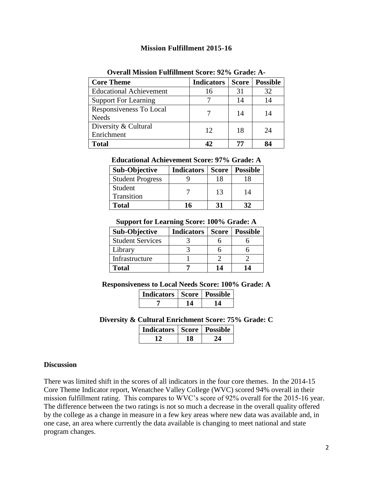#### **Mission Fulfillment 2015-16**

| <b>Core Theme</b>                       | <b>Indicators</b> | <b>Score</b> | <b>Possible</b> |
|-----------------------------------------|-------------------|--------------|-----------------|
| <b>Educational Achievement</b>          | 16                | 31           | 32              |
| <b>Support For Learning</b>             |                   | 14           | 14              |
| Responsiveness To Local<br><b>Needs</b> |                   | 14           | 14              |
| Diversity & Cultural<br>Enrichment      | 12                | 18           | 24              |
| <b>Total</b>                            |                   | 77           | QΔ              |

#### **Overall Mission Fulfillment Score: 92% Grade: A-**

# **Educational Achievement Score: 97% Grade: A**

| <b>Sub-Objective</b>    | <b>Indicators</b> | <b>Score</b> | <b>Possible</b> |
|-------------------------|-------------------|--------------|-----------------|
| <b>Student Progress</b> |                   | 18           |                 |
| Student<br>Transition   |                   | 13           | 14              |
| <b>Total</b>            | 16                | 31           |                 |

#### **Support for Learning Score: 100% Grade: A**

| <b>Sub-Objective</b>    | Indicators | <b>Score</b> | <b>Possible</b> |
|-------------------------|------------|--------------|-----------------|
| <b>Student Services</b> |            |              |                 |
| Library                 |            |              |                 |
| Infrastructure          |            |              |                 |
| <b>Total</b>            |            | 14           |                 |

**Responsiveness to Local Needs Score: 100% Grade: A**

| Indicators   Score   Possible |  |  |
|-------------------------------|--|--|
|                               |  |  |

**Diversity & Cultural Enrichment Score: 75% Grade: C**

| <b>Indicators   Score   Possible</b> |  |
|--------------------------------------|--|
|                                      |  |

#### **Discussion**

There was limited shift in the scores of all indicators in the four core themes. In the 2014-15 Core Theme Indicator report, Wenatchee Valley College (WVC) scored 94% overall in their mission fulfillment rating. This compares to WVC's score of 92% overall for the 2015-16 year. The difference between the two ratings is not so much a decrease in the overall quality offered by the college as a change in measure in a few key areas where new data was available and, in one case, an area where currently the data available is changing to meet national and state program changes.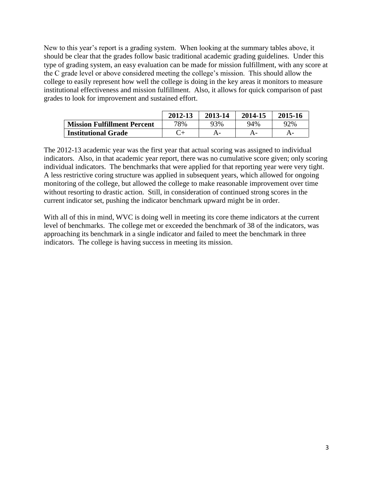New to this year's report is a grading system. When looking at the summary tables above, it should be clear that the grades follow basic traditional academic grading guidelines. Under this type of grading system, an easy evaluation can be made for mission fulfillment, with any score at the C grade level or above considered meeting the college's mission. This should allow the college to easily represent how well the college is doing in the key areas it monitors to measure institutional effectiveness and mission fulfillment. Also, it allows for quick comparison of past grades to look for improvement and sustained effort.

|                                    | 2012-13 | 2013-14 | 2014-15 | 2015-16 |
|------------------------------------|---------|---------|---------|---------|
| <b>Mission Fulfillment Percent</b> | 78%     | 93%     | 94%     | 92%     |
| <b>Institutional Grade</b>         |         |         |         |         |

The 2012-13 academic year was the first year that actual scoring was assigned to individual indicators. Also, in that academic year report, there was no cumulative score given; only scoring individual indicators. The benchmarks that were applied for that reporting year were very tight. A less restrictive coring structure was applied in subsequent years, which allowed for ongoing monitoring of the college, but allowed the college to make reasonable improvement over time without resorting to drastic action. Still, in consideration of continued strong scores in the current indicator set, pushing the indicator benchmark upward might be in order.

With all of this in mind, WVC is doing well in meeting its core theme indicators at the current level of benchmarks. The college met or exceeded the benchmark of 38 of the indicators, was approaching its benchmark in a single indicator and failed to meet the benchmark in three indicators. The college is having success in meeting its mission.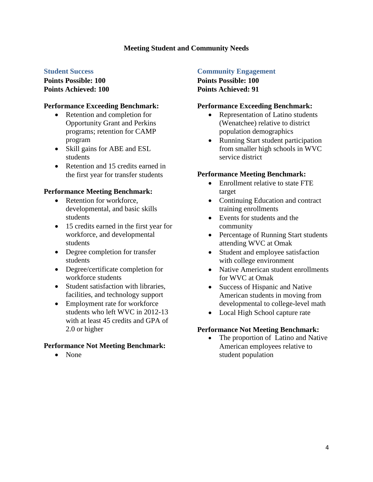### **Meeting Student and Community Needs**

#### **Student Success**

**Points Possible: 100 Points Achieved: 100**

#### **Performance Exceeding Benchmark:**

- Retention and completion for Opportunity Grant and Perkins programs; retention for CAMP program
- Skill gains for ABE and ESL students
- Retention and 15 credits earned in the first year for transfer students

#### **Performance Meeting Benchmark:**

- Retention for workforce, developmental, and basic skills students
- 15 credits earned in the first year for workforce, and developmental students
- Degree completion for transfer students
- Degree/certificate completion for workforce students
- Student satisfaction with libraries. facilities, and technology support
- Employment rate for workforce students who left WVC in 2012-13 with at least 45 credits and GPA of 2.0 or higher

#### **Performance Not Meeting Benchmark:**

• None

### **Community Engagement**

**Points Possible: 100 Points Achieved: 91**

#### **Performance Exceeding Benchmark:**

- Representation of Latino students (Wenatchee) relative to district population demographics
- Running Start student participation from smaller high schools in WVC service district

#### **Performance Meeting Benchmark:**

- Enrollment relative to state FTE target
- Continuing Education and contract training enrollments
- Events for students and the community
- Percentage of Running Start students attending WVC at Omak
- Student and employee satisfaction with college environment
- Native American student enrollments for WVC at Omak
- Success of Hispanic and Native American students in moving from developmental to college-level math
- Local High School capture rate

#### **Performance Not Meeting Benchmark:**

• The proportion of Latino and Native American employees relative to student population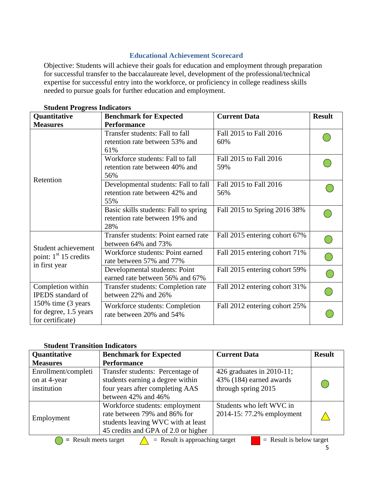# **Educational Achievement Scorecard**

Objective: Students will achieve their goals for education and employment through preparation for successful transfer to the baccalaureate level, development of the professional/technical expertise for successful entry into the workforce, or proficiency in college readiness skills needed to pursue goals for further education and employment.

| Quantitative                                                     | <b>Benchmark for Expected</b>                                                  | <b>Current Data</b>           | <b>Result</b> |
|------------------------------------------------------------------|--------------------------------------------------------------------------------|-------------------------------|---------------|
| <b>Measures</b>                                                  | <b>Performance</b>                                                             |                               |               |
|                                                                  | Transfer students: Fall to fall<br>retention rate between 53% and<br>61%       | Fall 2015 to Fall 2016<br>60% |               |
|                                                                  | Workforce students: Fall to fall<br>retention rate between 40% and<br>56%      | Fall 2015 to Fall 2016<br>59% |               |
| Retention                                                        | Developmental students: Fall to fall<br>retention rate between 42% and<br>55%  | Fall 2015 to Fall 2016<br>56% |               |
|                                                                  | Basic skills students: Fall to spring<br>retention rate between 19% and<br>28% | Fall 2015 to Spring 2016 38%  |               |
| Student achievement                                              | Transfer students: Point earned rate<br>between 64% and 73%                    | Fall 2015 entering cohort 67% |               |
| point: $1st 15$ credits                                          | Workforce students: Point earned<br>rate between 57% and 77%                   | Fall 2015 entering cohort 71% |               |
| in first year                                                    | Developmental students: Point<br>earned rate between 56% and 67%               | Fall 2015 entering cohort 59% |               |
| Completion within<br><b>IPEDS</b> standard of                    | Transfer students: Completion rate<br>between 22% and 26%                      | Fall 2012 entering cohort 31% |               |
| 150% time (3 years)<br>for degree, 1.5 years<br>for certificate) | Workforce students: Completion<br>rate between 20% and 54%                     | Fall 2012 entering cohort 25% |               |

# **Student Progress Indicators**

# **Student Transition Indicators**

| Quantitative        | <b>Benchmark for Expected</b>                                                             | <b>Current Data</b>       | <b>Result</b> |  |  |
|---------------------|-------------------------------------------------------------------------------------------|---------------------------|---------------|--|--|
| <b>Measures</b>     | <b>Performance</b>                                                                        |                           |               |  |  |
| Enrollment/completi | Transfer students: Percentage of                                                          | 426 graduates in 2010-11; |               |  |  |
| on at 4-year        | students earning a degree within                                                          | 43% (184) earned awards   |               |  |  |
| institution         | four years after completing AAS                                                           | through spring 2015       |               |  |  |
|                     | between 42% and 46%                                                                       |                           |               |  |  |
|                     | Workforce students: employment                                                            | Students who left WVC in  |               |  |  |
|                     | rate between 79% and 86% for                                                              | 2014-15: 77.2% employment |               |  |  |
| Employment          | students leaving WVC with at least                                                        |                           |               |  |  |
|                     | 45 credits and GPA of 2.0 or higher                                                       |                           |               |  |  |
|                     | $=$ Result is approaching target<br>$=$ Result is below target<br>$=$ Result meets target |                           |               |  |  |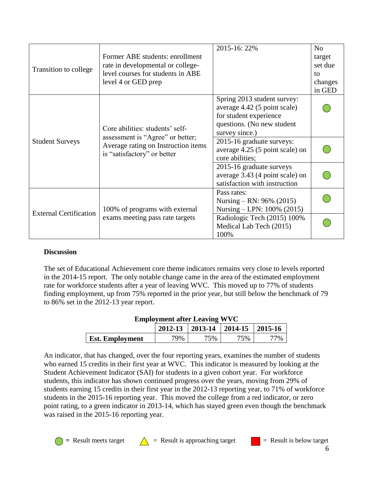|                               |                                                                                                                                           | 2015-16: 22%                    | N <sub>o</sub> |
|-------------------------------|-------------------------------------------------------------------------------------------------------------------------------------------|---------------------------------|----------------|
|                               | Former ABE students: enrollment                                                                                                           |                                 | target         |
| Transition to college         | rate in developmental or college-                                                                                                         |                                 | set due        |
|                               | level courses for students in ABE                                                                                                         |                                 | to             |
|                               | level 4 or GED prep                                                                                                                       |                                 | changes        |
|                               |                                                                                                                                           |                                 | in GED         |
|                               |                                                                                                                                           | Spring 2013 student survey:     |                |
|                               |                                                                                                                                           | average 4.42 (5 point scale)    |                |
|                               |                                                                                                                                           | for student experience          |                |
|                               | Core abilities: students' self-<br>assessment is "Agree" or better;<br>Average rating on Instruction items<br>is "satisfactory" or better | questions. (No new student      |                |
|                               |                                                                                                                                           | survey since.)                  |                |
| <b>Student Surveys</b>        |                                                                                                                                           | 2015-16 graduate surveys:       |                |
|                               |                                                                                                                                           | average 4.25 (5 point scale) on |                |
|                               |                                                                                                                                           | core abilities;                 |                |
|                               |                                                                                                                                           | 2015-16 graduate surveys        |                |
|                               |                                                                                                                                           | average 3.43 (4 point scale) on |                |
|                               |                                                                                                                                           | satisfaction with instruction   |                |
|                               |                                                                                                                                           | Pass rates:                     |                |
| <b>External Certification</b> |                                                                                                                                           | Nursing – RN: $96\%$ (2015)     |                |
|                               | 100% of programs with external                                                                                                            | Nursing – LPN: 100% (2015)      |                |
|                               | exams meeting pass rate targets                                                                                                           | Radiologic Tech (2015) 100%     |                |
|                               |                                                                                                                                           | Medical Lab Tech (2015)         |                |
|                               |                                                                                                                                           | 100%                            |                |

# **Discussion**

The set of Educational Achievement core theme indicators remains very close to levels reported in the 2014-15 report. The only notable change came in the area of the estimated employment rate for workforce students after a year of leaving WVC. This moved up to 77% of students finding employment, up from 75% reported in the prior year, but still below the benchmark of 79 to 86% set in the 2012-13 year report.

| <b>Employment after Leaving WVC</b>                |  |  |  |  |  |
|----------------------------------------------------|--|--|--|--|--|
| $2012-13$   2013-14   2014-15   2015-16            |  |  |  |  |  |
| <b>Est. Employment</b><br>79%<br>75%<br>75%<br>77% |  |  |  |  |  |

An indicator, that has changed, over the four reporting years, examines the number of students who earned 15 credits in their first year at WVC. This indicator is measured by looking at the Student Achievement Indicator (SAI) for students in a given cohort year. For workforce students, this indicator has shown continued progress over the years, moving from 29% of students earning 15 credits in their first year in the 2012-13 reporting year, to 71% of workforce students in the 2015-16 reporting year. This moved the college from a red indicator, or zero point rating, to a green indicator in 2013-14, which has stayed green even though the benchmark was raised in the 2015-16 reporting year.

 $\bullet$  = Result meets target  $\qquad \qquad$  = Result is approaching target  $\qquad \qquad$  = Result is below target 6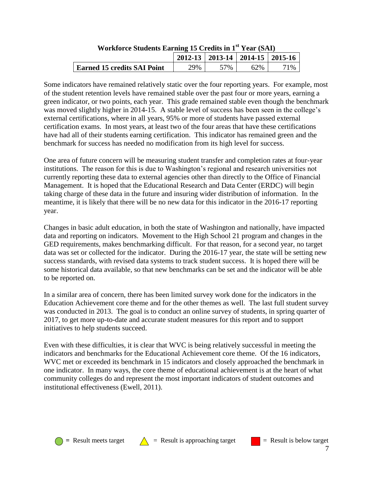| $\overline{11}$ of more beautiful equations to because in T $\overline{1}$ four $\overline{10}$ . |     |                 |                                         |        |
|---------------------------------------------------------------------------------------------------|-----|-----------------|-----------------------------------------|--------|
|                                                                                                   |     |                 | $2012-13$   2013-14   2014-15   2015-16 |        |
| <b>Earned 15 credits SAI Point</b>                                                                | 29% | 57 <sub>%</sub> | 62%                                     | $71\%$ |

# **Workforce Students Earning 15 Credits in 1st Year (SAI)**

Some indicators have remained relatively static over the four reporting years. For example, most of the student retention levels have remained stable over the past four or more years, earning a green indicator, or two points, each year. This grade remained stable even though the benchmark was moved slightly higher in 2014-15. A stable level of success has been seen in the college's external certifications, where in all years, 95% or more of students have passed external certification exams. In most years, at least two of the four areas that have these certifications have had all of their students earning certification. This indicator has remained green and the benchmark for success has needed no modification from its high level for success.

One area of future concern will be measuring student transfer and completion rates at four-year institutions. The reason for this is due to Washington's regional and research universities not currently reporting these data to external agencies other than directly to the Office of Financial Management. It is hoped that the Educational Research and Data Center (ERDC) will begin taking charge of these data in the future and insuring wider distribution of information. In the meantime, it is likely that there will be no new data for this indicator in the 2016-17 reporting year.

Changes in basic adult education, in both the state of Washington and nationally, have impacted data and reporting on indicators. Movement to the High School 21 program and changes in the GED requirements, makes benchmarking difficult. For that reason, for a second year, no target data was set or collected for the indicator. During the 2016-17 year, the state will be setting new success standards, with revised data systems to track student success. It is hoped there will be some historical data available, so that new benchmarks can be set and the indicator will be able to be reported on.

In a similar area of concern, there has been limited survey work done for the indicators in the Education Achievement core theme and for the other themes as well. The last full student survey was conducted in 2013. The goal is to conduct an online survey of students, in spring quarter of 2017, to get more up-to-date and accurate student measures for this report and to support initiatives to help students succeed.

Even with these difficulties, it is clear that WVC is being relatively successful in meeting the indicators and benchmarks for the Educational Achievement core theme. Of the 16 indicators, WVC met or exceeded its benchmark in 15 indicators and closely approached the benchmark in one indicator. In many ways, the core theme of educational achievement is at the heart of what community colleges do and represent the most important indicators of student outcomes and institutional effectiveness (Ewell, 2011).



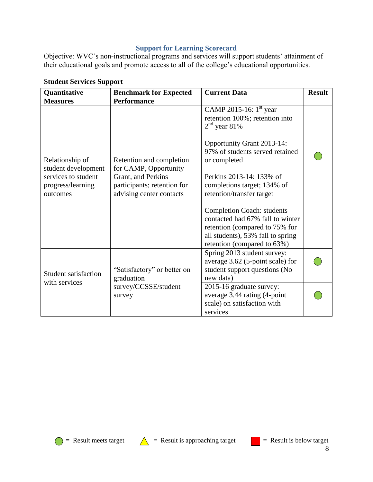# **Support for Learning Scorecard**

Objective: WVC's non-instructional programs and services will support students' attainment of their educational goals and promote access to all of the college's educational opportunities.

| Quantitative<br><b>Measures</b>                                             | <b>Benchmark for Expected</b><br><b>Performance</b>                                                    | <b>Current Data</b>                                                                                                                                                         | <b>Result</b> |
|-----------------------------------------------------------------------------|--------------------------------------------------------------------------------------------------------|-----------------------------------------------------------------------------------------------------------------------------------------------------------------------------|---------------|
|                                                                             |                                                                                                        | CAMP 2015-16: $1st$ year<br>retention 100%; retention into<br>$2nd$ year 81%                                                                                                |               |
| Relationship of                                                             | Retention and completion                                                                               | Opportunity Grant 2013-14:<br>97% of students served retained<br>or completed                                                                                               |               |
| student development<br>services to student<br>progress/learning<br>outcomes | for CAMP, Opportunity<br>Grant, and Perkins<br>participants; retention for<br>advising center contacts | Perkins 2013-14: 133% of<br>completions target; 134% of<br>retention/transfer target                                                                                        |               |
|                                                                             |                                                                                                        | <b>Completion Coach: students</b><br>contacted had 67% fall to winter<br>retention (compared to 75% for<br>all students), 53% fall to spring<br>retention (compared to 63%) |               |
| <b>Student satisfaction</b>                                                 | "Satisfactory" or better on<br>graduation                                                              | Spring 2013 student survey:<br>average 3.62 (5-point scale) for<br>student support questions (No<br>new data)                                                               |               |
| with services                                                               | survey/CCSSE/student<br>survey                                                                         | 2015-16 graduate survey:<br>average 3.44 rating (4-point<br>scale) on satisfaction with<br>services                                                                         |               |

# **Student Services Support**





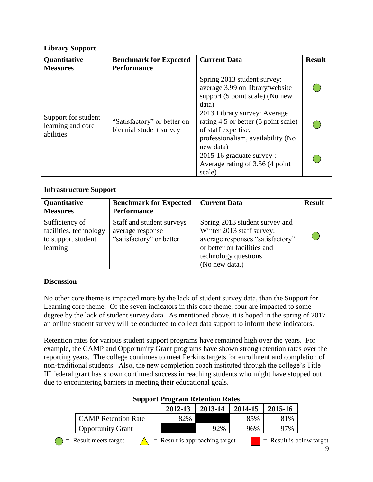# **Library Support**

| Quantitative<br><b>Measures</b>                       | <b>Benchmark for Expected</b><br><b>Performance</b>    | <b>Current Data</b>                                                                                                                           | <b>Result</b> |
|-------------------------------------------------------|--------------------------------------------------------|-----------------------------------------------------------------------------------------------------------------------------------------------|---------------|
| Support for student<br>learning and core<br>abilities |                                                        | Spring 2013 student survey:<br>average 3.99 on library/website<br>support (5 point scale) (No new<br>data)                                    |               |
|                                                       | "Satisfactory" or better on<br>biennial student survey | 2013 Library survey: Average<br>rating 4.5 or better (5 point scale)<br>of staff expertise,<br>professionalism, availability (No<br>new data) |               |
|                                                       |                                                        | 2015-16 graduate survey :<br>Average rating of 3.56 (4 point<br>scale)                                                                        |               |

# **Infrastructure Support**

| Quantitative<br><b>Measures</b>                                            | <b>Benchmark for Expected</b><br><b>Performance</b>                         | <b>Current Data</b>                                                                                                                                                      | <b>Result</b> |
|----------------------------------------------------------------------------|-----------------------------------------------------------------------------|--------------------------------------------------------------------------------------------------------------------------------------------------------------------------|---------------|
| Sufficiency of<br>facilities, technology<br>to support student<br>learning | Staff and student surveys –<br>average response<br>"satisfactory" or better | Spring 2013 student survey and<br>Winter 2013 staff survey:<br>average responses "satisfactory"<br>or better on facilities and<br>technology questions<br>(No new data.) |               |

# **Discussion**

No other core theme is impacted more by the lack of student survey data, than the Support for Learning core theme. Of the seven indicators in this core theme, four are impacted to some degree by the lack of student survey data. As mentioned above, it is hoped in the spring of 2017 an online student survey will be conducted to collect data support to inform these indicators.

Retention rates for various student support programs have remained high over the years. For example, the CAMP and Opportunity Grant programs have shown strong retention rates over the reporting years. The college continues to meet Perkins targets for enrollment and completion of non-traditional students. Also, the new completion coach instituted through the college's Title III federal grant has shown continued success in reaching students who might have stopped out due to encountering barriers in meeting their educational goals.

|                            | 2012-13 | 2013-14 | 2014-15 | 2015-16 |
|----------------------------|---------|---------|---------|---------|
| <b>CAMP</b> Retention Rate | 82%     |         | 85%     | 81%     |
| <b>Opportunity Grant</b>   |         | 92%     | 96%     | 97%     |

# **Support Program Retention Rates**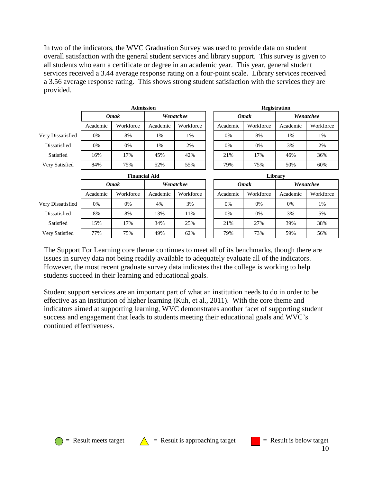In two of the indicators, the WVC Graduation Survey was used to provide data on student overall satisfaction with the general student services and library support. This survey is given to all students who earn a certificate or degree in an academic year. This year, general student services received a 3.44 average response rating on a four-point scale. Library services received a 3.56 average response rating. This shows strong student satisfaction with the services they are provided.

|                   | <b>Admission</b>     |             |           |           |  | <b>Registration</b> |             |           |           |
|-------------------|----------------------|-------------|-----------|-----------|--|---------------------|-------------|-----------|-----------|
|                   | <b>Omak</b>          |             | Wenatchee |           |  | <b>Omak</b>         |             | Wenatchee |           |
|                   | Academic             | Workforce   | Academic  | Workforce |  | Academic            | Workforce   | Academic  | Workforce |
| Very Dissatisfied | 0%                   | 8%          | 1%        | 1%        |  | 0%                  | 8%          | 1%        | 1%        |
| Dissatisfied      | 0%                   | 0%          | 1%        | 2%        |  | 0%                  | $0\%$       | 3%        | 2%        |
| Satisfied         | 16%                  | 17%         | 45%       | 42%       |  | 21%                 | 17%         | 46%       | 36%       |
| Very Satisfied    | 84%                  | 75%         | 52%       | 55%       |  | 79%                 | 75%         | 50%       | 60%       |
|                   | <b>Financial Aid</b> |             | Library   |           |  |                     |             |           |           |
|                   |                      |             |           |           |  |                     |             |           |           |
|                   |                      | <b>Omak</b> |           | Wenatchee |  |                     | <b>Omak</b> |           | Wenatchee |
|                   | Academic             | Workforce   | Academic  | Workforce |  | Academic            | Workforce   | Academic  | Workforce |
| Very Dissatisfied | 0%                   | 0%          | 4%        | 3%        |  | 0%                  | $0\%$       | 0%        | 1%        |
| Dissatisfied      | 8%                   | 8%          | 13%       | 11%       |  | 0%                  | 0%          | 3%        | 5%        |
| Satisfied         | 15%                  | 17%         | 34%       | 25%       |  | 21%                 | 27%         | 39%       | 38%       |

The Support For Learning core theme continues to meet all of its benchmarks, though there are issues in survey data not being readily available to adequately evaluate all of the indicators. However, the most recent graduate survey data indicates that the college is working to help students succeed in their learning and educational goals.

Student support services are an important part of what an institution needs to do in order to be effective as an institution of higher learning (Kuh, et al., 2011). With the core theme and indicators aimed at supporting learning, WVC demonstrates another facet of supporting student success and engagement that leads to students meeting their educational goals and WVC's continued effectiveness.





 $\bigcirc$  = Result meets target  $\bigwedge$  = Result is approaching target  $\bigcirc$  = Result is below target



10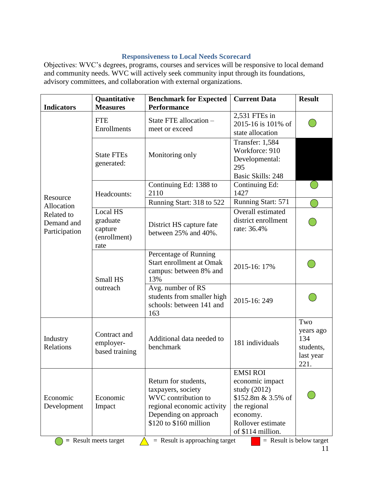# **Responsiveness to Local Needs Scorecard**

Objectives: WVC's degrees, programs, courses and services will be responsive to local demand and community needs. WVC will actively seek community input through its foundations, advisory committees, and collaboration with external organizations.

| <b>Indicators</b>                         | Quantitative<br><b>Measures</b>                                                                             | <b>Benchmark for Expected</b><br><b>Performance</b>                                                                                                | <b>Current Data</b>                                                                                                                                 | <b>Result</b>                                            |
|-------------------------------------------|-------------------------------------------------------------------------------------------------------------|----------------------------------------------------------------------------------------------------------------------------------------------------|-----------------------------------------------------------------------------------------------------------------------------------------------------|----------------------------------------------------------|
|                                           | <b>FTE</b><br>Enrollments                                                                                   | State FTE allocation -<br>meet or exceed                                                                                                           | 2,531 FTEs in<br>2015-16 is 101% of<br>state allocation                                                                                             |                                                          |
|                                           | <b>State FTEs</b><br>generated:                                                                             | Monitoring only                                                                                                                                    | <b>Transfer: 1,584</b><br>Workforce: 910<br>Developmental:<br>295<br><b>Basic Skills: 248</b>                                                       |                                                          |
| Resource                                  | Headcounts:                                                                                                 | Continuing Ed: 1388 to<br>2110                                                                                                                     | Continuing Ed:<br>1427                                                                                                                              |                                                          |
| Allocation                                |                                                                                                             | Running Start: 318 to 522                                                                                                                          | Running Start: 571                                                                                                                                  |                                                          |
| Related to<br>Demand and<br>Participation | Local HS<br>graduate<br>District HS capture fate<br>capture<br>between 25% and 40%.<br>(enrollment)<br>rate |                                                                                                                                                    | Overall estimated<br>district enrollment<br>rate: 36.4%                                                                                             |                                                          |
|                                           | Small HS                                                                                                    | Percentage of Running<br><b>Start enrollment at Omak</b><br>campus: between 8% and<br>13%                                                          | 2015-16: 17%                                                                                                                                        |                                                          |
|                                           | outreach                                                                                                    | Avg. number of RS<br>students from smaller high<br>schools: between 141 and<br>163                                                                 | 2015-16:249                                                                                                                                         |                                                          |
| Industry<br>Relations                     | Contract and<br>employer-<br>based training                                                                 | Additional data needed to<br>benchmark                                                                                                             | 181 individuals                                                                                                                                     | Two<br>years ago<br>134<br>students,<br>last year<br>221 |
| Economic<br>Development                   | Economic<br>Impact                                                                                          | Return for students,<br>taxpayers, society<br>WVC contribution to<br>regional economic activity<br>Depending on approach<br>\$120 to \$160 million | <b>EMSI ROI</b><br>economic impact<br>study $(2012)$<br>\$152.8m $& 3.5\%$ of<br>the regional<br>economy.<br>Rollover estimate<br>of \$114 million. |                                                          |
|                                           | $=$ Result meets target                                                                                     | $=$ Result is approaching target                                                                                                                   |                                                                                                                                                     | $=$ Result is below target                               |

11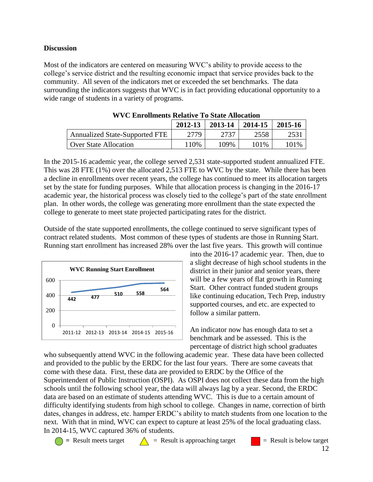### **Discussion**

Most of the indicators are centered on measuring WVC's ability to provide access to the college's service district and the resulting economic impact that service provides back to the community. All seven of the indicators met or exceeded the set benchmarks. The data surrounding the indicators suggests that WVC is in fact providing educational opportunity to a wide range of students in a variety of programs.

|                                       | 2012-13 | 2013-14 | 2014-15 | 2015-16 |
|---------------------------------------|---------|---------|---------|---------|
| <b>Annualized State-Supported FTE</b> | 2779    | 2737    | 2558    |         |
| <b>Over State Allocation</b>          | 110%    | 109%    | 101%    | 101%    |

In the 2015-16 academic year, the college served 2,531 state-supported student annualized FTE. This was 28 FTE (1%) over the allocated 2,513 FTE to WVC by the state. While there has been a decline in enrollments over recent years, the college has continued to meet its allocation targets set by the state for funding purposes. While that allocation process is changing in the 2016-17 academic year, the historical process was closely tied to the college's part of the state enrollment plan. In other words, the college was generating more enrollment than the state expected the college to generate to meet state projected participating rates for the district.

Outside of the state supported enrollments, the college continued to serve significant types of contract related students. Most common of these types of students are those in Running Start. Running start enrollment has increased 28% over the last five years. This growth will continue



into the 2016-17 academic year. Then, due to a slight decrease of high school students in the district in their junior and senior years, there will be a few years of flat growth in Running Start. Other contract funded student groups like continuing education, Tech Prep, industry supported courses, and etc. are expected to follow a similar pattern.

An indicator now has enough data to set a benchmark and be assessed. This is the percentage of district high school graduates

who subsequently attend WVC in the following academic year. These data have been collected and provided to the public by the ERDC for the last four years. There are some caveats that come with these data. First, these data are provided to ERDC by the Office of the Superintendent of Public Instruction (OSPI). As OSPI does not collect these data from the high schools until the following school year, the data will always lag by a year. Second, the ERDC data are based on an estimate of students attending WVC. This is due to a certain amount of difficulty identifying students from high school to college. Changes in name, correction of birth dates, changes in address, etc. hamper ERDC's ability to match students from one location to the next. With that in mind, WVC can expect to capture at least 25% of the local graduating class. In 2014-15, WVC captured 36% of students.

 $\bigcirc$  = Result meets target  $\bigwedge$  = Result is approaching target  $\bigcirc$  = Result is below target 12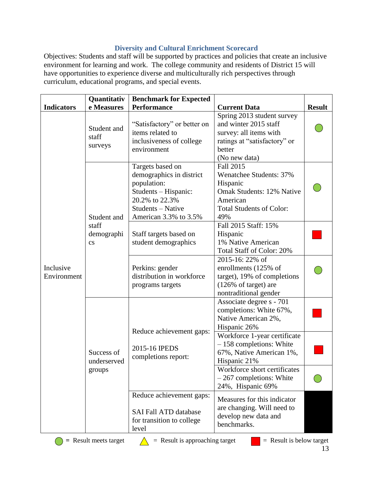# **Diversity and Cultural Enrichment Scorecard**

Objectives: Students and staff will be supported by practices and policies that create an inclusive environment for learning and work. The college community and residents of District 15 will have opportunities to experience diverse and multiculturally rich perspectives through curriculum, educational programs, and special events.

|                          | Quantitativ                                                                          | <b>Benchmark for Expected</b>                                                                                                                       |                                                                                                                                                   |               |
|--------------------------|--------------------------------------------------------------------------------------|-----------------------------------------------------------------------------------------------------------------------------------------------------|---------------------------------------------------------------------------------------------------------------------------------------------------|---------------|
| <b>Indicators</b>        | e Measures<br><b>Performance</b>                                                     |                                                                                                                                                     | <b>Current Data</b>                                                                                                                               | <b>Result</b> |
| Inclusive<br>Environment | Student and<br>staff<br>surveys                                                      | "Satisfactory" or better on<br>items related to<br>inclusiveness of college<br>environment                                                          | Spring 2013 student survey<br>and winter 2015 staff<br>survey: all items with<br>ratings at "satisfactory" or<br>better<br>(No new data)          |               |
|                          | Student and                                                                          | Targets based on<br>demographics in district<br>population:<br>Students - Hispanic:<br>20.2% to 22.3%<br>Students - Native<br>American 3.3% to 3.5% | Fall 2015<br><b>Wenatchee Students: 37%</b><br>Hispanic<br><b>Omak Students: 12% Native</b><br>American<br><b>Total Students of Color:</b><br>49% |               |
|                          | staff<br>demographi<br>$\mathbf{c}\mathbf{s}$<br>Success of<br>underserved<br>groups | Staff targets based on<br>student demographics                                                                                                      | Fall 2015 Staff: 15%<br>Hispanic<br>1% Native American<br>Total Staff of Color: 20%                                                               |               |
|                          |                                                                                      | Perkins: gender<br>distribution in workforce<br>programs targets                                                                                    | 2015-16: 22% of<br>enrollments (125% of<br>target), 19% of completions<br>(126% of target) are<br>nontraditional gender                           |               |
|                          |                                                                                      | Reduce achievement gaps:                                                                                                                            | Associate degree s - 701<br>completions: White 67%,<br>Native American 2%,<br>Hispanic 26%                                                        |               |
|                          |                                                                                      | 2015-16 IPEDS<br>completions report:                                                                                                                | Workforce 1-year certificate<br>$-158$ completions: White<br>67%, Native American 1%,<br>Hispanic 21%                                             |               |
|                          |                                                                                      |                                                                                                                                                     | Workforce short certificates<br>$-267$ completions: White<br>24%, Hispanic 69%                                                                    |               |
|                          |                                                                                      | Reduce achievement gaps:<br><b>SAI Fall ATD database</b><br>for transition to college<br>level                                                      | Measures for this indicator<br>are changing. Will need to<br>develop new data and<br>benchmarks.                                                  |               |



 $\bullet$  = Result meets target  $\qquad \qquad$  = Result is approaching target  $\qquad \qquad$  = Result is below target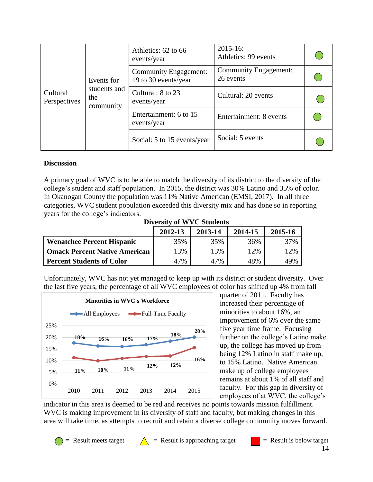|                          | Events for                       | Athletics: 62 to 66<br>events/year                   | $2015 - 16$ :<br>Athletics: 99 events     |  |
|--------------------------|----------------------------------|------------------------------------------------------|-------------------------------------------|--|
|                          |                                  | <b>Community Engagement:</b><br>19 to 30 events/year | <b>Community Engagement:</b><br>26 events |  |
| Cultural<br>Perspectives | students and<br>the<br>community | Cultural: 8 to 23<br>events/year                     | Cultural: 20 events                       |  |
|                          |                                  | Entertainment: 6 to 15<br>events/year                | Entertainment: 8 events                   |  |
|                          |                                  | Social: 5 to 15 events/year                          | Social: 5 events                          |  |

#### **Discussion**

A primary goal of WVC is to be able to match the diversity of its district to the diversity of the college's student and staff population. In 2015, the district was 30% Latino and 35% of color. In Okanogan County the population was 11% Native American (EMSI, 2017). In all three categories, WVC student population exceeded this diversity mix and has done so in reporting years for the college's indicators.

**Diversity of WVC Students**

|                                      | 2012-13 | 2013-14 | 2014-15 | 2015-16 |
|--------------------------------------|---------|---------|---------|---------|
| <b>Wenatchee Percent Hispanic</b>    | 35%     | 35%     | 36%     | 37%     |
| <b>Omack Percent Native American</b> | $3\%$   | 13%     | 12%     | 12%     |
| <b>Percent Students of Color</b>     | 47%     | 47%     | 48%     | 49%     |

Unfortunately, WVC has not yet managed to keep up with its district or student diversity. Over the last five years, the percentage of all WVC employees of color has shifted up 4% from fall



quarter of 2011. Faculty has increased their percentage of minorities to about 16%, an improvement of 6% over the same five year time frame. Focusing further on the college's Latino make up, the college has moved up from being 12% Latino in staff make up, to 15% Latino. Native American make up of college employees remains at about 1% of all staff and faculty. For this gap in diversity of employees of at WVC, the college's

indicator in this area is deemed to be red and receives no points towards mission fulfillment. WVC is making improvement in its diversity of staff and faculty, but making changes in this area will take time, as attempts to recruit and retain a diverse college community moves forward.